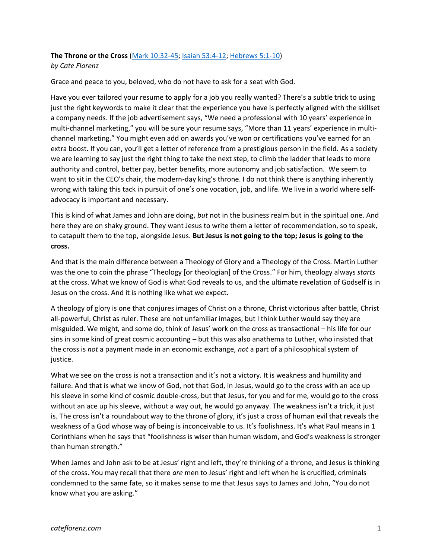## **The Throne or the Cross** [\(Mark 10:32-45;](https://www.biblegateway.com/passage/?search=Mark+10%3A32-45&version=NRSV) [Isaiah 53:4-12;](https://www.biblegateway.com/passage/?search=Isaiah+53%3A4-12&version=NRSV) [Hebrews 5:1-10\)](https://www.biblegateway.com/passage/?search=Hebrews+5%3A1-10&version=NRSV) *by Cate Florenz*

Grace and peace to you, beloved, who do not have to ask for a seat with God.

Have you ever tailored your resume to apply for a job you really wanted? There's a subtle trick to using just the right keywords to make it clear that the experience you have is perfectly aligned with the skillset a company needs. If the job advertisement says, "We need a professional with 10 years' experience in multi-channel marketing," you will be sure your resume says, "More than 11 years' experience in multichannel marketing." You might even add on awards you've won or certifications you've earned for an extra boost. If you can, you'll get a letter of reference from a prestigious person in the field. As a society we are learning to say just the right thing to take the next step, to climb the ladder that leads to more authority and control, better pay, better benefits, more autonomy and job satisfaction. We seem to want to sit in the CEO's chair, the modern-day king's throne. I do not think there is anything inherently wrong with taking this tack in pursuit of one's one vocation, job, and life. We live in a world where selfadvocacy is important and necessary.

This is kind of what James and John are doing, *but* not in the business realm but in the spiritual one. And here they are on shaky ground. They want Jesus to write them a letter of recommendation, so to speak, to catapult them to the top, alongside Jesus. **But Jesus is not going to the top; Jesus is going to the cross.**

And that is the main difference between a Theology of Glory and a Theology of the Cross. Martin Luther was the one to coin the phrase "Theology [or theologian] of the Cross." For him, theology always *starts* at the cross. What we know of God is what God reveals to us, and the ultimate revelation of Godself is in Jesus on the cross. And it is nothing like what we expect.

A theology of glory is one that conjures images of Christ on a throne, Christ victorious after battle, Christ all-powerful, Christ as ruler. These are not unfamiliar images, but I think Luther would say they are misguided. We might, and some do, think of Jesus' work on the cross as transactional – his life for our sins in some kind of great cosmic accounting – but this was also anathema to Luther, who insisted that the cross is *not* a payment made in an economic exchange, *not* a part of a philosophical system of justice.

What we see on the cross is not a transaction and it's not a victory. It is weakness and humility and failure. And that is what we know of God, not that God, in Jesus, would go to the cross with an ace up his sleeve in some kind of cosmic double-cross, but that Jesus, for you and for me, would go to the cross without an ace up his sleeve, without a way out, he would go anyway. The weakness isn't a trick, it just is. The cross isn't a roundabout way to the throne of glory, it's just a cross of human evil that reveals the weakness of a God whose way of being is inconceivable to us. It's foolishness. It's what Paul means in 1 Corinthians when he says that "foolishness is wiser than human wisdom, and God's weakness is stronger than human strength."

When James and John ask to be at Jesus' right and left, they're thinking of a throne, and Jesus is thinking of the cross. You may recall that there *are* men to Jesus' right and left when he is crucified, criminals condemned to the same fate, so it makes sense to me that Jesus says to James and John, "You do not know what you are asking."